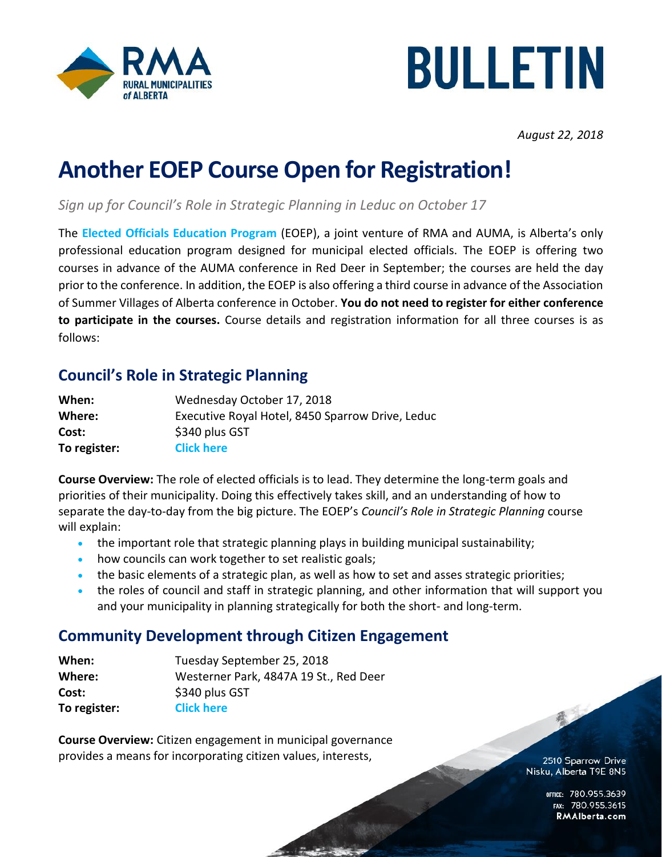



*August 22, 2018*

## **Another EOEP Course Open for Registration!**

*Sign up for Council's Role in Strategic Planning in Leduc on October 17*

The **[Elected Officials Education Program](http://www.eoep.ca/)** (EOEP), a joint venture of RMA and AUMA, is Alberta's only professional education program designed for municipal elected officials. The EOEP is offering two courses in advance of the AUMA conference in Red Deer in September; the courses are held the day prior to the conference. In addition, the EOEP is also offering a third course in advance of the Association of Summer Villages of Alberta conference in October. **You do not need to register for either conference to participate in the courses.** Course details and registration information for all three courses is as follows:

## **Council's Role in Strategic Planning**

| When:        | Wednesday October 17, 2018                       |
|--------------|--------------------------------------------------|
| Where:       | Executive Royal Hotel, 8450 Sparrow Drive, Leduc |
| Cost:        | \$340 plus GST                                   |
| To register: | <b>Click here</b>                                |

**Course Overview:** The role of elected officials is to lead. They determine the long-term goals and priorities of their municipality. Doing this effectively takes skill, and an understanding of how to separate the day-to-day from the big picture. The EOEP's *Council's Role in Strategic Planning* course will explain:

- the important role that strategic planning plays in building municipal sustainability;
- how councils can work together to set realistic goals;
- the basic elements of a strategic plan, as well as how to set and asses strategic priorities;
- the roles of council and staff in strategic planning, and other information that will support you and your municipality in planning strategically for both the short- and long-term.

## **Community Development through Citizen Engagement**

| When:        | Tuesday September 25, 2018             |
|--------------|----------------------------------------|
| Where:       | Westerner Park, 4847A 19 St., Red Deer |
| Cost:        | \$340 plus GST                         |
| To register: | <b>Click here</b>                      |

**Course Overview:** Citizen engagement in municipal governance provides a means for incorporating citizen values, interests,

2510 Sparrow Drive Nisku, Alberta T9E 8N5

一

OFFICE: 780.955.3639<br>15.780.955.3615 RMAlberta.com